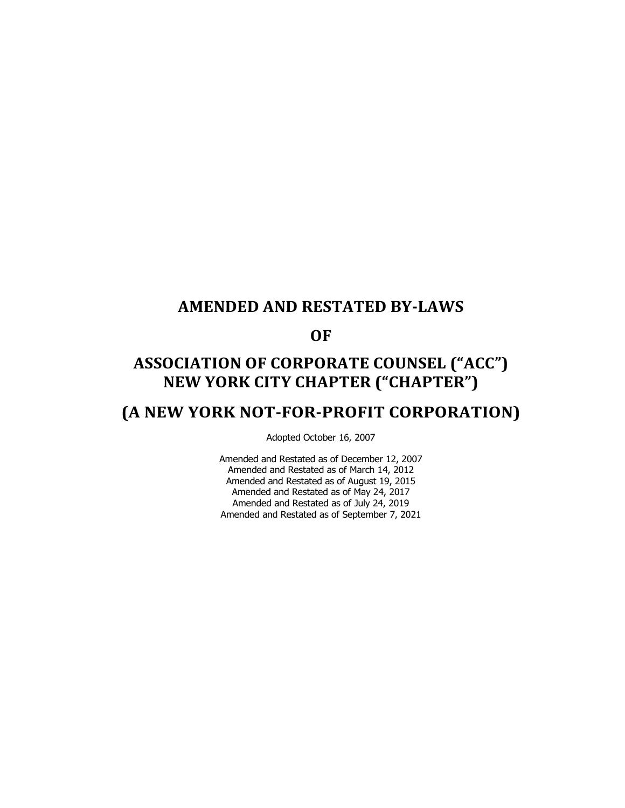### **AMENDED AND RESTATED BY-LAWS**

**OF**

# **ASSOCIATION OF CORPORATE COUNSEL ("ACC") NEW YORK CITY CHAPTER ("CHAPTER")**

## **(A NEW YORK NOT-FOR-PROFIT CORPORATION)**

Adopted October 16, 2007

Amended and Restated as of December 12, 2007 Amended and Restated as of March 14, 2012 Amended and Restated as of August 19, 2015 Amended and Restated as of May 24, 2017 Amended and Restated as of July 24, 2019 Amended and Restated as of September 7, 2021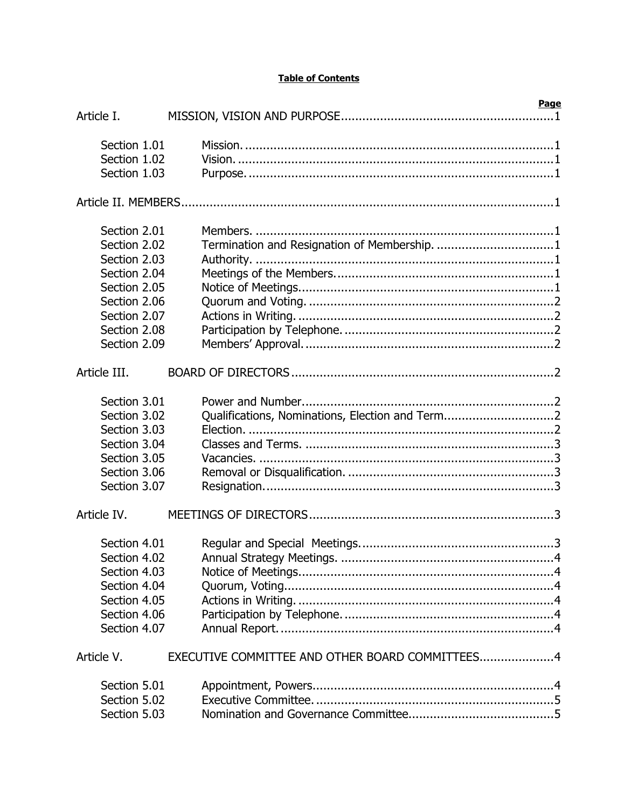#### **Table of Contents**

| Article I.   | <b>Page</b>                                     |
|--------------|-------------------------------------------------|
|              |                                                 |
| Section 1.01 |                                                 |
| Section 1.02 | Vision. 1 1                                     |
| Section 1.03 |                                                 |
|              |                                                 |
|              |                                                 |
|              |                                                 |
| Section 2.01 |                                                 |
| Section 2.02 | Termination and Resignation of Membership. 1    |
| Section 2.03 |                                                 |
| Section 2.04 |                                                 |
| Section 2.05 |                                                 |
| Section 2.06 |                                                 |
| Section 2.07 |                                                 |
| Section 2.08 |                                                 |
| Section 2.09 |                                                 |
|              |                                                 |
| Article III. |                                                 |
| Section 3.01 |                                                 |
| Section 3.02 | Qualifications, Nominations, Election and Term2 |
| Section 3.03 |                                                 |
| Section 3.04 |                                                 |
| Section 3.05 |                                                 |
| Section 3.06 |                                                 |
| Section 3.07 |                                                 |
|              |                                                 |
| Article IV.  |                                                 |
|              |                                                 |
| Section 4.01 |                                                 |
| Section 4.02 |                                                 |
| Section 4.03 |                                                 |
| Section 4.04 |                                                 |
| Section 4.05 |                                                 |
| Section 4.06 |                                                 |
| Section 4.07 |                                                 |
| Article V.   | EXECUTIVE COMMITTEE AND OTHER BOARD COMMITTEES4 |
|              |                                                 |
| Section 5.01 |                                                 |
| Section 5.02 |                                                 |
| Section 5.03 |                                                 |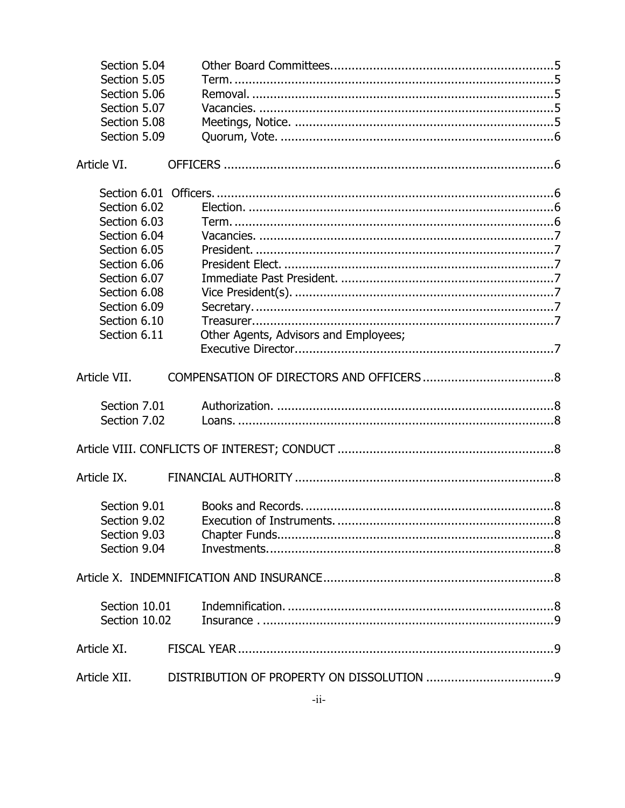| Section 5.04  |                                       |
|---------------|---------------------------------------|
| Section 5.05  |                                       |
| Section 5.06  |                                       |
| Section 5.07  |                                       |
| Section 5.08  |                                       |
| Section 5.09  |                                       |
|               |                                       |
| Article VI.   |                                       |
|               |                                       |
| Section 6.02  |                                       |
| Section 6.03  |                                       |
| Section 6.04  |                                       |
| Section 6.05  |                                       |
| Section 6.06  |                                       |
| Section 6.07  |                                       |
|               |                                       |
| Section 6.08  |                                       |
| Section 6.09  |                                       |
| Section 6.10  |                                       |
| Section 6.11  | Other Agents, Advisors and Employees; |
|               |                                       |
| Article VII.  |                                       |
| Section 7.01  |                                       |
| Section 7.02  |                                       |
|               |                                       |
|               |                                       |
| Article IX.   |                                       |
|               |                                       |
| Section 9.01  |                                       |
| Section 9.02  |                                       |
| Section 9.03  |                                       |
| Section 9.04  |                                       |
|               |                                       |
|               |                                       |
| Section 10.01 |                                       |
| Section 10.02 |                                       |
| Article XI.   |                                       |
|               |                                       |
| Article XII.  |                                       |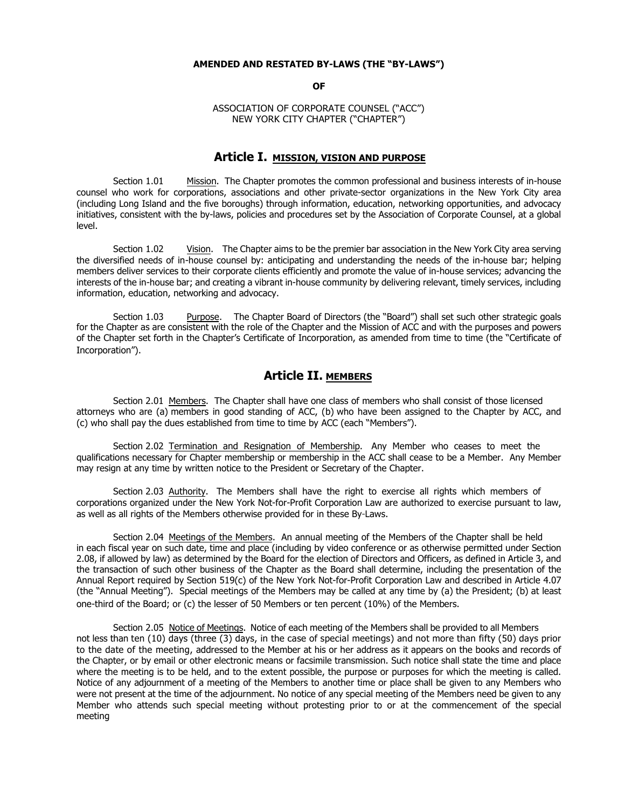#### **AMENDED AND RESTATED BY-LAWS (THE "BY-LAWS")**

**OF**

ASSOCIATION OF CORPORATE COUNSEL ("ACC") NEW YORK CITY CHAPTER ("CHAPTER")

#### **Article I. MISSION, VISION AND PURPOSE**

Section 1.01 Mission. The Chapter promotes the common professional and business interests of in-house counsel who work for corporations, associations and other private-sector organizations in the New York City area (including Long Island and the five boroughs) through information, education, networking opportunities, and advocacy initiatives, consistent with the by-laws, policies and procedures set by the Association of Corporate Counsel, at a global level.

Section 1.02 Vision. The Chapter aims to be the premier bar association in the New York City area serving the diversified needs of in-house counsel by: anticipating and understanding the needs of the in-house bar; helping members deliver services to their corporate clients efficiently and promote the value of in-house services; advancing the interests of the in-house bar; and creating a vibrant in-house community by delivering relevant, timely services, including information, education, networking and advocacy.

Section 1.03 Purpose. The Chapter Board of Directors (the "Board") shall set such other strategic goals for the Chapter as are consistent with the role of the Chapter and the Mission of ACC and with the purposes and powers of the Chapter set forth in the Chapter's Certificate of Incorporation, as amended from time to time (the "Certificate of Incorporation").

#### **Article II. MEMBERS**

Section 2.01 Members. The Chapter shall have one class of members who shall consist of those licensed attorneys who are (a) members in good standing of ACC, (b) who have been assigned to the Chapter by ACC, and (c) who shall pay the dues established from time to time by ACC (each "Members").

Section 2.02 Termination and Resignation of Membership. Any Member who ceases to meet the qualifications necessary for Chapter membership or membership in the ACC shall cease to be a Member. Any Member may resign at any time by written notice to the President or Secretary of the Chapter.

Section 2.03 Authority. The Members shall have the right to exercise all rights which members of corporations organized under the New York Not-for-Profit Corporation Law are authorized to exercise pursuant to law, as well as all rights of the Members otherwise provided for in these By-Laws.

Section 2.04 Meetings of the Members. An annual meeting of the Members of the Chapter shall be held in each fiscal year on such date, time and place (including by video conference or as otherwise permitted under Section 2.08, if allowed by law) as determined by the Board for the election of Directors and Officers, as defined in Article 3, and the transaction of such other business of the Chapter as the Board shall determine, including the presentation of the Annual Report required by Section 519(c) of the New York Not-for-Profit Corporation Law and described in Article 4.07 (the "Annual Meeting"). Special meetings of the Members may be called at any time by (a) the President; (b) at least one-third of the Board; or (c) the lesser of 50 Members or ten percent (10%) of the Members.

Section 2.05 Notice of Meetings. Notice of each meeting of the Members shall be provided to all Members not less than ten (10) days (three (3) days, in the case of special meetings) and not more than fifty (50) days prior to the date of the meeting, addressed to the Member at his or her address as it appears on the books and records of the Chapter, or by email or other electronic means or facsimile transmission. Such notice shall state the time and place where the meeting is to be held, and to the extent possible, the purpose or purposes for which the meeting is called. Notice of any adjournment of a meeting of the Members to another time or place shall be given to any Members who were not present at the time of the adjournment. No notice of any special meeting of the Members need be given to any Member who attends such special meeting without protesting prior to or at the commencement of the special meeting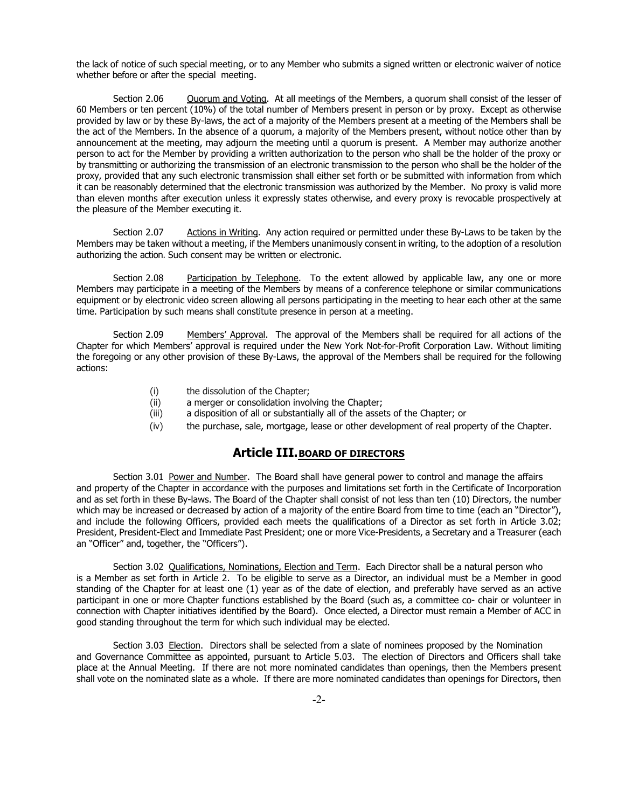the lack of notice of such special meeting, or to any Member who submits a signed written or electronic waiver of notice whether before or after the special meeting.

Section 2.06 Quorum and Voting. At all meetings of the Members, a quorum shall consist of the lesser of 60 Members or ten percent (10%) of the total number of Members present in person or by proxy. Except as otherwise provided by law or by these By-laws, the act of a majority of the Members present at a meeting of the Members shall be the act of the Members. In the absence of a quorum, a majority of the Members present, without notice other than by announcement at the meeting, may adjourn the meeting until a quorum is present. A Member may authorize another person to act for the Member by providing a written authorization to the person who shall be the holder of the proxy or by transmitting or authorizing the transmission of an electronic transmission to the person who shall be the holder of the proxy, provided that any such electronic transmission shall either set forth or be submitted with information from which it can be reasonably determined that the electronic transmission was authorized by the Member. No proxy is valid more than eleven months after execution unless it expressly states otherwise, and every proxy is revocable prospectively at the pleasure of the Member executing it.

Section 2.07 Actions in Writing. Any action required or permitted under these By-Laws to be taken by the Members may be taken without a meeting, if the Members unanimously consent in writing, to the adoption of a resolution authorizing the action. Such consent may be written or electronic.

Section 2.08 Participation by Telephone. To the extent allowed by applicable law, any one or more Members may participate in a meeting of the Members by means of a conference telephone or similar communications equipment or by electronic video screen allowing all persons participating in the meeting to hear each other at the same time. Participation by such means shall constitute presence in person at a meeting.

Section 2.09 Members' Approval. The approval of the Members shall be required for all actions of the Chapter for which Members' approval is required under the New York Not-for-Profit Corporation Law. Without limiting the foregoing or any other provision of these By-Laws, the approval of the Members shall be required for the following actions:

- (i) the dissolution of the Chapter;<br>(ii) a merger or consolidation invol
- a merger or consolidation involving the Chapter;
- (iii) a disposition of all or substantially all of the assets of the Chapter; or
- (iv) the purchase, sale, mortgage, lease or other development of real property of the Chapter.

#### **Article III.BOARD OF DIRECTORS**

Section 3.01 Power and Number. The Board shall have general power to control and manage the affairs and property of the Chapter in accordance with the purposes and limitations set forth in the Certificate of Incorporation and as set forth in these By-laws. The Board of the Chapter shall consist of not less than ten (10) Directors, the number which may be increased or decreased by action of a majority of the entire Board from time to time (each an "Director"), and include the following Officers, provided each meets the qualifications of a Director as set forth in Article 3.02; President, President-Elect and Immediate Past President; one or more Vice-Presidents, a Secretary and a Treasurer (each an "Officer" and, together, the "Officers").

Section 3.02 Qualifications, Nominations, Election and Term. Each Director shall be a natural person who is a Member as set forth in Article 2. To be eligible to serve as a Director, an individual must be a Member in good standing of the Chapter for at least one (1) year as of the date of election, and preferably have served as an active participant in one or more Chapter functions established by the Board (such as, a committee co- chair or volunteer in connection with Chapter initiatives identified by the Board). Once elected, a Director must remain a Member of ACC in good standing throughout the term for which such individual may be elected.

Section 3.03 Election. Directors shall be selected from a slate of nominees proposed by the Nomination and Governance Committee as appointed, pursuant to Article 5.03. The election of Directors and Officers shall take place at the Annual Meeting. If there are not more nominated candidates than openings, then the Members present shall vote on the nominated slate as a whole. If there are more nominated candidates than openings for Directors, then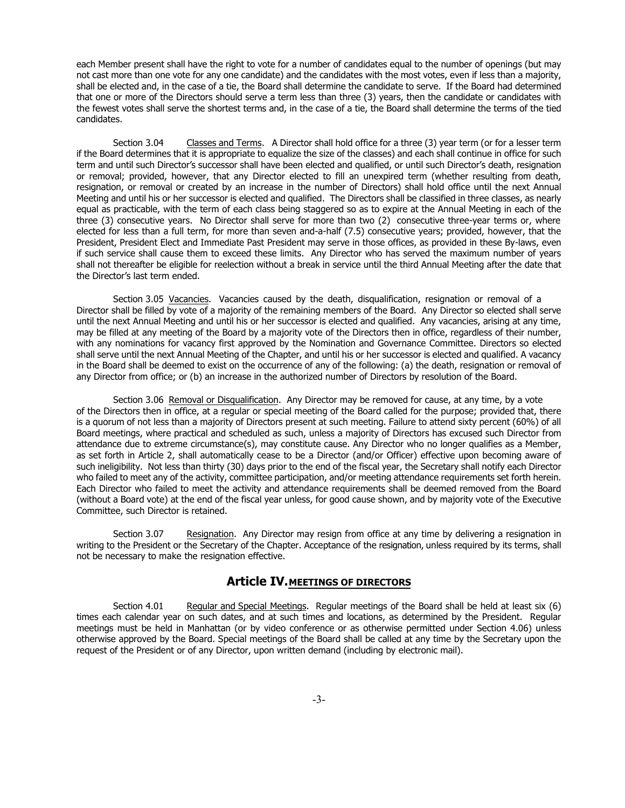each Member present shall have the right to vote for a number of candidates equal to the number of openings (but may not cast more than one vote for any one candidate) and the candidates with the most votes, even if less than a majority, shall be elected and, in the case of a tie, the Board shall determine the candidate to serve. If the Board had determined that one or more of the Directors should serve a term less than three (3) years, then the candidate or candidates with the fewest votes shall serve the shortest terms and, in the case of a tie, the Board shall determine the terms of the tied candidates.

Section 3.04 Classes and Terms. A Director shall hold office for a three (3) year term (or for a lesser term if the Board determines that it is appropriate to equalize the size of the classes) and each shall continue in office for such term and until such Director's successor shall have been elected and qualified, or until such Director's death, resignation or removal; provided, however, that any Director elected to fill an unexpired term (whether resulting from death, resignation, or removal or created by an increase in the number of Directors) shall hold office until the next Annual Meeting and until his or her successor is elected and qualified. The Directors shall be classified in three classes, as nearly equal as practicable, with the term of each class being staggered so as to expire at the Annual Meeting in each of the three (3) consecutive years. No Director shall serve for more than two (2) consecutive three-year terms or, where elected for less than a full term, for more than seven and-a-half (7.5) consecutive years; provided, however, that the President, President Elect and Immediate Past President may serve in those offices, as provided in these By-laws, even if such service shall cause them to exceed these limits. Any Director who has served the maximum number of years shall not thereafter be eligible for reelection without a break in service until the third Annual Meeting after the date that the Director's last term ended.

Section 3.05 Vacancies. Vacancies caused by the death, disqualification, resignation or removal of a Director shall be filled by vote of a majority of the remaining members of the Board. Any Director so elected shall serve until the next Annual Meeting and until his or her successor is elected and qualified. Any vacancies, arising at any time, may be filled at any meeting of the Board by a majority vote of the Directors then in office, regardless of their number, with any nominations for vacancy first approved by the Nomination and Governance Committee. Directors so elected shall serve until the next Annual Meeting of the Chapter, and until his or her successor is elected and qualified. A vacancy in the Board shall be deemed to exist on the occurrence of any of the following: (a) the death, resignation or removal of any Director from office; or (b) an increase in the authorized number of Directors by resolution of the Board.

Section 3.06 Removal or Disqualification. Any Director may be removed for cause, at any time, by a vote of the Directors then in office, at a regular or special meeting of the Board called for the purpose; provided that, there is a quorum of not less than a majority of Directors present at such meeting. Failure to attend sixty percent (60%) of all Board meetings, where practical and scheduled as such, unless a majority of Directors has excused such Director from attendance due to extreme circumstance(s), may constitute cause. Any Director who no longer qualifies as a Member, as set forth in Article 2, shall automatically cease to be a Director (and/or Officer) effective upon becoming aware of such ineligibility. Not less than thirty (30) days prior to the end of the fiscal year, the Secretary shall notify each Director who failed to meet any of the activity, committee participation, and/or meeting attendance requirements set forth herein. Each Director who failed to meet the activity and attendance requirements shall be deemed removed from the Board (without a Board vote) at the end of the fiscal year unless, for good cause shown, and by majority vote of the Executive Committee, such Director is retained.

Section 3.07 Resignation. Any Director may resign from office at any time by delivering a resignation in writing to the President or the Secretary of the Chapter. Acceptance of the resignation, unless required by its terms, shall not be necessary to make the resignation effective.

#### **Article IV.MEETINGS OF DIRECTORS**

Section 4.01 Regular and Special Meetings. Regular meetings of the Board shall be held at least six (6) times each calendar year on such dates, and at such times and locations, as determined by the President. Regular meetings must be held in Manhattan (or by video conference or as otherwise permitted under Section 4.06) unless otherwise approved by the Board. Special meetings of the Board shall be called at any time by the Secretary upon the request of the President or of any Director, upon written demand (including by electronic mail).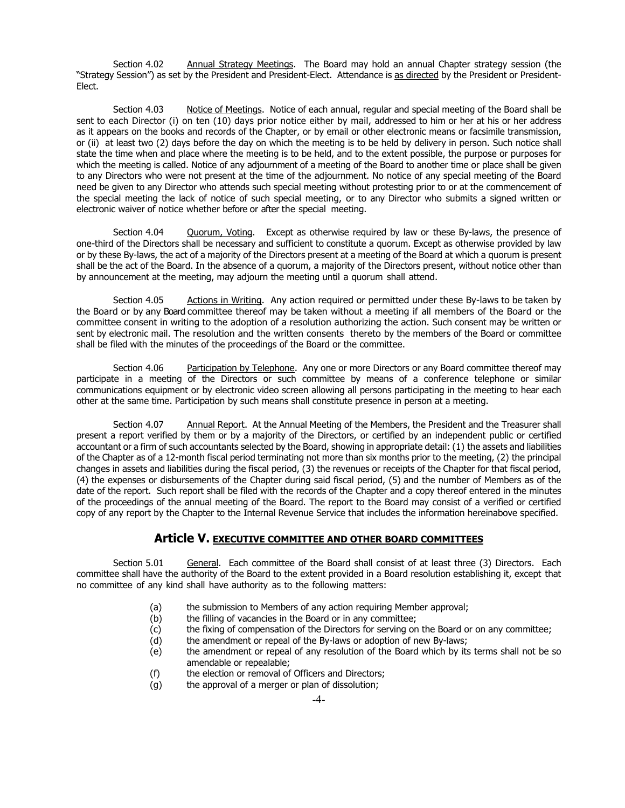Section 4.02 Annual Strategy Meetings. The Board may hold an annual Chapter strategy session (the "Strategy Session") as set by the President and President-Elect. Attendance is as directed by the President or President-Elect.

Section 4.03 Notice of Meetings. Notice of each annual, regular and special meeting of the Board shall be sent to each Director (i) on ten (10) days prior notice either by mail, addressed to him or her at his or her address as it appears on the books and records of the Chapter, or by email or other electronic means or facsimile transmission, or (ii) at least two (2) days before the day on which the meeting is to be held by delivery in person. Such notice shall state the time when and place where the meeting is to be held, and to the extent possible, the purpose or purposes for which the meeting is called. Notice of any adjournment of a meeting of the Board to another time or place shall be given to any Directors who were not present at the time of the adjournment. No notice of any special meeting of the Board need be given to any Director who attends such special meeting without protesting prior to or at the commencement of the special meeting the lack of notice of such special meeting, or to any Director who submits a signed written or electronic waiver of notice whether before or after the special meeting.

Section 4.04 Cuorum, Voting. Except as otherwise required by law or these By-laws, the presence of one-third of the Directors shall be necessary and sufficient to constitute a quorum. Except as otherwise provided by law or by these By-laws, the act of a majority of the Directors present at a meeting of the Board at which a quorum is present shall be the act of the Board. In the absence of a quorum, a majority of the Directors present, without notice other than by announcement at the meeting, may adjourn the meeting until a quorum shall attend.

Section 4.05 Actions in Writing. Any action required or permitted under these By-laws to be taken by the Board or by any Board committee thereof may be taken without a meeting if all members of the Board or the committee consent in writing to the adoption of a resolution authorizing the action. Such consent may be written or sent by electronic mail. The resolution and the written consents thereto by the members of the Board or committee shall be filed with the minutes of the proceedings of the Board or the committee.

Section 4.06 Participation by Telephone. Any one or more Directors or any Board committee thereof may participate in a meeting of the Directors or such committee by means of a conference telephone or similar communications equipment or by electronic video screen allowing all persons participating in the meeting to hear each other at the same time. Participation by such means shall constitute presence in person at a meeting.

Section 4.07 Annual Report. At the Annual Meeting of the Members, the President and the Treasurer shall present a report verified by them or by a majority of the Directors, or certified by an independent public or certified accountant or a firm of such accountants selected by the Board, showing in appropriate detail: (1) the assets and liabilities of the Chapter as of a 12-month fiscal period terminating not more than six months prior to the meeting, (2) the principal changes in assets and liabilities during the fiscal period, (3) the revenues or receipts of the Chapter for that fiscal period, (4) the expenses or disbursements of the Chapter during said fiscal period, (5) and the number of Members as of the date of the report. Such report shall be filed with the records of the Chapter and a copy thereof entered in the minutes of the proceedings of the annual meeting of the Board. The report to the Board may consist of a verified or certified copy of any report by the Chapter to the Internal Revenue Service that includes the information hereinabove specified.

#### **Article V. EXECUTIVE COMMITTEE AND OTHER BOARD COMMITTEES**

Section 5.01 General. Each committee of the Board shall consist of at least three (3) Directors. Each committee shall have the authority of the Board to the extent provided in a Board resolution establishing it, except that no committee of any kind shall have authority as to the following matters:

- (a) the submission to Members of any action requiring Member approval;<br>(b) the filling of vacancies in the Board or in any committee;
- the filling of vacancies in the Board or in any committee;
- (c) the fixing of compensation of the Directors for serving on the Board or on any committee;<br>(d) the amendment or repeal of the By-laws or adoption of new By-laws;
- the amendment or repeal of the By-laws or adoption of new By-laws;
- (e) the amendment or repeal of any resolution of the Board which by its terms shall not be so amendable or repealable;
- (f) the election or removal of Officers and Directors;<br>(g) the approval of a merger or plan of dissolution;
- the approval of a merger or plan of dissolution;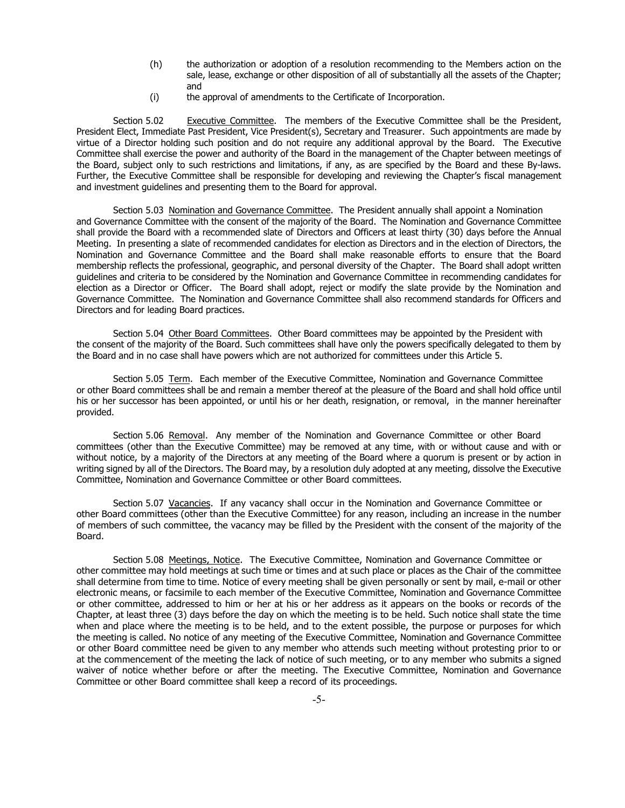- (h) the authorization or adoption of a resolution recommending to the Members action on the sale, lease, exchange or other disposition of all of substantially all the assets of the Chapter; and
- (i) the approval of amendments to the Certificate of Incorporation.

Section 5.02 Executive Committee. The members of the Executive Committee shall be the President, President Elect, Immediate Past President, Vice President(s), Secretary and Treasurer. Such appointments are made by virtue of a Director holding such position and do not require any additional approval by the Board. The Executive Committee shall exercise the power and authority of the Board in the management of the Chapter between meetings of the Board, subject only to such restrictions and limitations, if any, as are specified by the Board and these By-laws. Further, the Executive Committee shall be responsible for developing and reviewing the Chapter's fiscal management and investment guidelines and presenting them to the Board for approval.

Section 5.03 Nomination and Governance Committee. The President annually shall appoint a Nomination and Governance Committee with the consent of the majority of the Board. The Nomination and Governance Committee shall provide the Board with a recommended slate of Directors and Officers at least thirty (30) days before the Annual Meeting. In presenting a slate of recommended candidates for election as Directors and in the election of Directors, the Nomination and Governance Committee and the Board shall make reasonable efforts to ensure that the Board membership reflects the professional, geographic, and personal diversity of the Chapter. The Board shall adopt written guidelines and criteria to be considered by the Nomination and Governance Committee in recommending candidates for election as a Director or Officer. The Board shall adopt, reject or modify the slate provide by the Nomination and Governance Committee. The Nomination and Governance Committee shall also recommend standards for Officers and Directors and for leading Board practices.

Section 5.04 Other Board Committees. Other Board committees may be appointed by the President with the consent of the majority of the Board. Such committees shall have only the powers specifically delegated to them by the Board and in no case shall have powers which are not authorized for committees under this Article 5.

Section 5.05 Term. Each member of the Executive Committee, Nomination and Governance Committee or other Board committees shall be and remain a member thereof at the pleasure of the Board and shall hold office until his or her successor has been appointed, or until his or her death, resignation, or removal, in the manner hereinafter provided.

Section 5.06 Removal. Any member of the Nomination and Governance Committee or other Board committees (other than the Executive Committee) may be removed at any time, with or without cause and with or without notice, by a majority of the Directors at any meeting of the Board where a quorum is present or by action in writing signed by all of the Directors. The Board may, by a resolution duly adopted at any meeting, dissolve the Executive Committee, Nomination and Governance Committee or other Board committees.

Section 5.07 Vacancies. If any vacancy shall occur in the Nomination and Governance Committee or other Board committees (other than the Executive Committee) for any reason, including an increase in the number of members of such committee, the vacancy may be filled by the President with the consent of the majority of the Board.

Section 5.08 Meetings, Notice. The Executive Committee, Nomination and Governance Committee or other committee may hold meetings at such time or times and at such place or places as the Chair of the committee shall determine from time to time. Notice of every meeting shall be given personally or sent by mail, e-mail or other electronic means, or facsimile to each member of the Executive Committee, Nomination and Governance Committee or other committee, addressed to him or her at his or her address as it appears on the books or records of the Chapter, at least three (3) days before the day on which the meeting is to be held. Such notice shall state the time when and place where the meeting is to be held, and to the extent possible, the purpose or purposes for which the meeting is called. No notice of any meeting of the Executive Committee, Nomination and Governance Committee or other Board committee need be given to any member who attends such meeting without protesting prior to or at the commencement of the meeting the lack of notice of such meeting, or to any member who submits a signed waiver of notice whether before or after the meeting. The Executive Committee, Nomination and Governance Committee or other Board committee shall keep a record of its proceedings.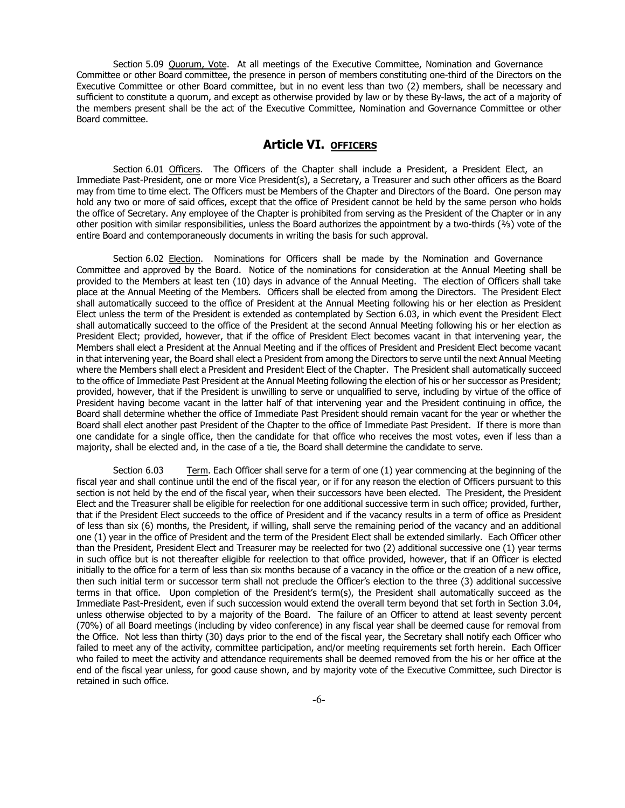Section 5.09 Quorum, Vote. At all meetings of the Executive Committee, Nomination and Governance Committee or other Board committee, the presence in person of members constituting one-third of the Directors on the Executive Committee or other Board committee, but in no event less than two (2) members, shall be necessary and sufficient to constitute a quorum, and except as otherwise provided by law or by these By-laws, the act of a majority of the members present shall be the act of the Executive Committee, Nomination and Governance Committee or other Board committee.

#### **Article VI. OFFICERS**

Section 6.01 Officers. The Officers of the Chapter shall include a President, a President Elect, an Immediate Past-President, one or more Vice President(s), a Secretary, a Treasurer and such other officers as the Board may from time to time elect. The Officers must be Members of the Chapter and Directors of the Board. One person may hold any two or more of said offices, except that the office of President cannot be held by the same person who holds the office of Secretary. Any employee of the Chapter is prohibited from serving as the President of the Chapter or in any other position with similar responsibilities, unless the Board authorizes the appointment by a two-thirds (⅔) vote of the entire Board and contemporaneously documents in writing the basis for such approval.

Section 6.02 Election. Nominations for Officers shall be made by the Nomination and Governance Committee and approved by the Board. Notice of the nominations for consideration at the Annual Meeting shall be provided to the Members at least ten (10) days in advance of the Annual Meeting. The election of Officers shall take place at the Annual Meeting of the Members. Officers shall be elected from among the Directors. The President Elect shall automatically succeed to the office of President at the Annual Meeting following his or her election as President Elect unless the term of the President is extended as contemplated by Section 6.03, in which event the President Elect shall automatically succeed to the office of the President at the second Annual Meeting following his or her election as President Elect; provided, however, that if the office of President Elect becomes vacant in that intervening year, the Members shall elect a President at the Annual Meeting and if the offices of President and President Elect become vacant in that intervening year, the Board shall elect a President from among the Directors to serve until the next Annual Meeting where the Members shall elect a President and President Elect of the Chapter. The President shall automatically succeed to the office of Immediate Past President at the Annual Meeting following the election of his or her successor as President; provided, however, that if the President is unwilling to serve or unqualified to serve, including by virtue of the office of President having become vacant in the latter half of that intervening year and the President continuing in office, the Board shall determine whether the office of Immediate Past President should remain vacant for the year or whether the Board shall elect another past President of the Chapter to the office of Immediate Past President. If there is more than one candidate for a single office, then the candidate for that office who receives the most votes, even if less than a majority, shall be elected and, in the case of a tie, the Board shall determine the candidate to serve.

Section 6.03 Term. Each Officer shall serve for a term of one (1) year commencing at the beginning of the fiscal year and shall continue until the end of the fiscal year, or if for any reason the election of Officers pursuant to this section is not held by the end of the fiscal year, when their successors have been elected. The President, the President Elect and the Treasurer shall be eligible for reelection for one additional successive term in such office; provided, further, that if the President Elect succeeds to the office of President and if the vacancy results in a term of office as President of less than six (6) months, the President, if willing, shall serve the remaining period of the vacancy and an additional one (1) year in the office of President and the term of the President Elect shall be extended similarly. Each Officer other than the President, President Elect and Treasurer may be reelected for two (2) additional successive one (1) year terms in such office but is not thereafter eligible for reelection to that office provided, however, that if an Officer is elected initially to the office for a term of less than six months because of a vacancy in the office or the creation of a new office, then such initial term or successor term shall not preclude the Officer's election to the three (3) additional successive terms in that office. Upon completion of the President's term(s), the President shall automatically succeed as the Immediate Past-President, even if such succession would extend the overall term beyond that set forth in Section 3.04, unless otherwise objected to by a majority of the Board. The failure of an Officer to attend at least seventy percent (70%) of all Board meetings (including by video conference) in any fiscal year shall be deemed cause for removal from the Office. Not less than thirty (30) days prior to the end of the fiscal year, the Secretary shall notify each Officer who failed to meet any of the activity, committee participation, and/or meeting requirements set forth herein. Each Officer who failed to meet the activity and attendance requirements shall be deemed removed from the his or her office at the end of the fiscal year unless, for good cause shown, and by majority vote of the Executive Committee, such Director is retained in such office.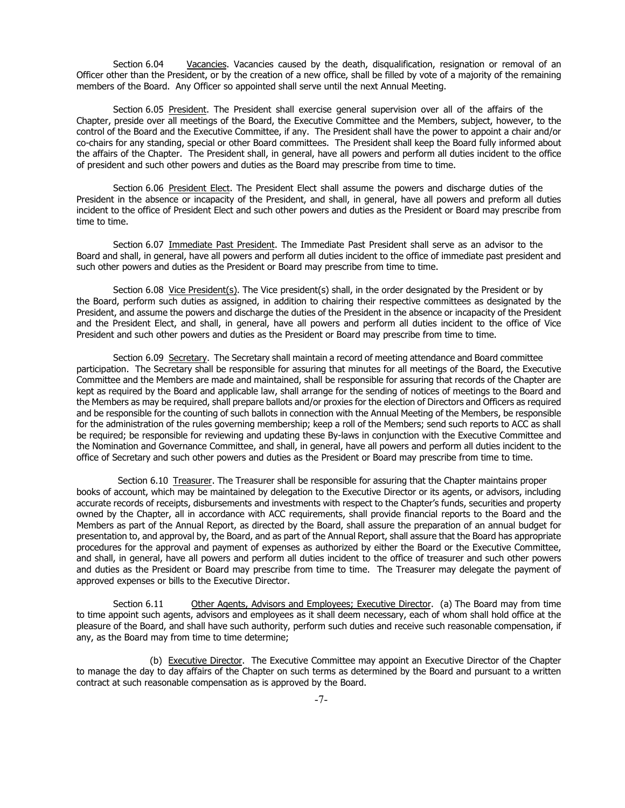Section 6.04 Vacancies. Vacancies caused by the death, disqualification, resignation or removal of an Officer other than the President, or by the creation of a new office, shall be filled by vote of a majority of the remaining members of the Board. Any Officer so appointed shall serve until the next Annual Meeting.

Section 6.05 President. The President shall exercise general supervision over all of the affairs of the Chapter, preside over all meetings of the Board, the Executive Committee and the Members, subject, however, to the control of the Board and the Executive Committee, if any. The President shall have the power to appoint a chair and/or co-chairs for any standing, special or other Board committees. The President shall keep the Board fully informed about the affairs of the Chapter. The President shall, in general, have all powers and perform all duties incident to the office of president and such other powers and duties as the Board may prescribe from time to time.

Section 6.06 President Elect. The President Elect shall assume the powers and discharge duties of the President in the absence or incapacity of the President, and shall, in general, have all powers and preform all duties incident to the office of President Elect and such other powers and duties as the President or Board may prescribe from time to time.

Section 6.07 Immediate Past President. The Immediate Past President shall serve as an advisor to the Board and shall, in general, have all powers and perform all duties incident to the office of immediate past president and such other powers and duties as the President or Board may prescribe from time to time.

Section 6.08 Vice President(s). The Vice president(s) shall, in the order designated by the President or by the Board, perform such duties as assigned, in addition to chairing their respective committees as designated by the President, and assume the powers and discharge the duties of the President in the absence or incapacity of the President and the President Elect, and shall, in general, have all powers and perform all duties incident to the office of Vice President and such other powers and duties as the President or Board may prescribe from time to time.

Section 6.09 Secretary. The Secretary shall maintain a record of meeting attendance and Board committee participation. The Secretary shall be responsible for assuring that minutes for all meetings of the Board, the Executive Committee and the Members are made and maintained, shall be responsible for assuring that records of the Chapter are kept as required by the Board and applicable law, shall arrange for the sending of notices of meetings to the Board and the Members as may be required, shall prepare ballots and/or proxies for the election of Directors and Officers as required and be responsible for the counting of such ballots in connection with the Annual Meeting of the Members, be responsible for the administration of the rules governing membership; keep a roll of the Members; send such reports to ACC as shall be required; be responsible for reviewing and updating these By-laws in conjunction with the Executive Committee and the Nomination and Governance Committee, and shall, in general, have all powers and perform all duties incident to the office of Secretary and such other powers and duties as the President or Board may prescribe from time to time.

Section 6.10 Treasurer. The Treasurer shall be responsible for assuring that the Chapter maintains proper books of account, which may be maintained by delegation to the Executive Director or its agents, or advisors, including accurate records of receipts, disbursements and investments with respect to the Chapter's funds, securities and property owned by the Chapter, all in accordance with ACC requirements, shall provide financial reports to the Board and the Members as part of the Annual Report, as directed by the Board, shall assure the preparation of an annual budget for presentation to, and approval by, the Board, and as part of the Annual Report, shall assure that the Board has appropriate procedures for the approval and payment of expenses as authorized by either the Board or the Executive Committee, and shall, in general, have all powers and perform all duties incident to the office of treasurer and such other powers and duties as the President or Board may prescribe from time to time. The Treasurer may delegate the payment of approved expenses or bills to the Executive Director.

Section 6.11 Other Agents, Advisors and Employees; Executive Director. (a) The Board may from time to time appoint such agents, advisors and employees as it shall deem necessary, each of whom shall hold office at the pleasure of the Board, and shall have such authority, perform such duties and receive such reasonable compensation, if any, as the Board may from time to time determine;

(b) Executive Director. The Executive Committee may appoint an Executive Director of the Chapter to manage the day to day affairs of the Chapter on such terms as determined by the Board and pursuant to a written contract at such reasonable compensation as is approved by the Board.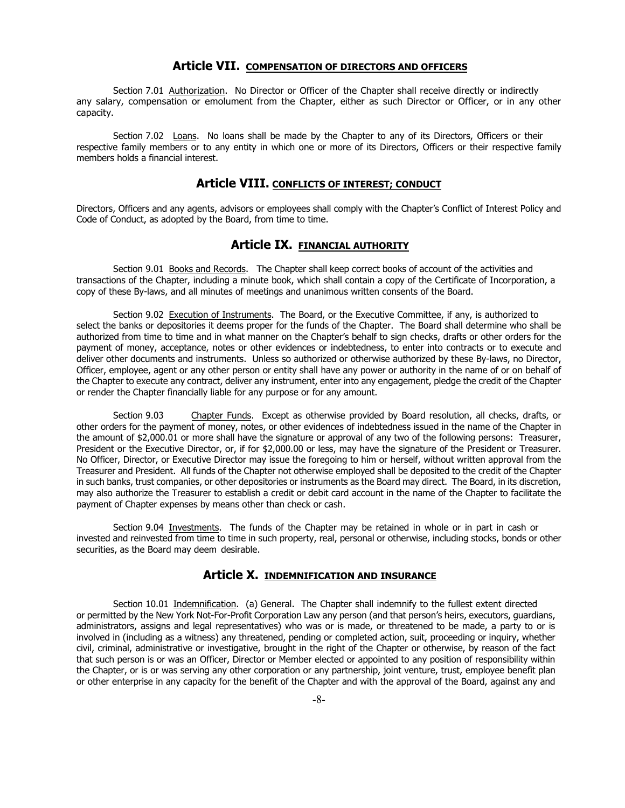#### **Article VII. COMPENSATION OF DIRECTORS AND OFFICERS**

Section 7.01 Authorization. No Director or Officer of the Chapter shall receive directly or indirectly any salary, compensation or emolument from the Chapter, either as such Director or Officer, or in any other capacity.

Section 7.02 Loans. No loans shall be made by the Chapter to any of its Directors, Officers or their respective family members or to any entity in which one or more of its Directors, Officers or their respective family members holds a financial interest.

#### **Article VIII. CONFLICTS OF INTEREST; CONDUCT**

Directors, Officers and any agents, advisors or employees shall comply with the Chapter's Conflict of Interest Policy and Code of Conduct, as adopted by the Board, from time to time.

#### **Article IX. FINANCIAL AUTHORITY**

Section 9.01 Books and Records. The Chapter shall keep correct books of account of the activities and transactions of the Chapter, including a minute book, which shall contain a copy of the Certificate of Incorporation, a copy of these By-laws, and all minutes of meetings and unanimous written consents of the Board.

Section 9.02 Execution of Instruments. The Board, or the Executive Committee, if any, is authorized to select the banks or depositories it deems proper for the funds of the Chapter. The Board shall determine who shall be authorized from time to time and in what manner on the Chapter's behalf to sign checks, drafts or other orders for the payment of money, acceptance, notes or other evidences or indebtedness, to enter into contracts or to execute and deliver other documents and instruments. Unless so authorized or otherwise authorized by these By-laws, no Director, Officer, employee, agent or any other person or entity shall have any power or authority in the name of or on behalf of the Chapter to execute any contract, deliver any instrument, enter into any engagement, pledge the credit of the Chapter or render the Chapter financially liable for any purpose or for any amount.

Section 9.03 Chapter Funds. Except as otherwise provided by Board resolution, all checks, drafts, or other orders for the payment of money, notes, or other evidences of indebtedness issued in the name of the Chapter in the amount of \$2,000.01 or more shall have the signature or approval of any two of the following persons: Treasurer, President or the Executive Director, or, if for \$2,000.00 or less, may have the signature of the President or Treasurer. No Officer, Director, or Executive Director may issue the foregoing to him or herself, without written approval from the Treasurer and President. All funds of the Chapter not otherwise employed shall be deposited to the credit of the Chapter in such banks, trust companies, or other depositories or instruments as the Board may direct. The Board, in its discretion, may also authorize the Treasurer to establish a credit or debit card account in the name of the Chapter to facilitate the payment of Chapter expenses by means other than check or cash.

Section 9.04 Investments. The funds of the Chapter may be retained in whole or in part in cash or invested and reinvested from time to time in such property, real, personal or otherwise, including stocks, bonds or other securities, as the Board may deem desirable.

#### **Article X. INDEMNIFICATION AND INSURANCE**

Section 10.01 Indemnification. (a) General. The Chapter shall indemnify to the fullest extent directed or permitted by the New York Not-For-Profit Corporation Law any person (and that person's heirs, executors, guardians, administrators, assigns and legal representatives) who was or is made, or threatened to be made, a party to or is involved in (including as a witness) any threatened, pending or completed action, suit, proceeding or inquiry, whether civil, criminal, administrative or investigative, brought in the right of the Chapter or otherwise, by reason of the fact that such person is or was an Officer, Director or Member elected or appointed to any position of responsibility within the Chapter, or is or was serving any other corporation or any partnership, joint venture, trust, employee benefit plan or other enterprise in any capacity for the benefit of the Chapter and with the approval of the Board, against any and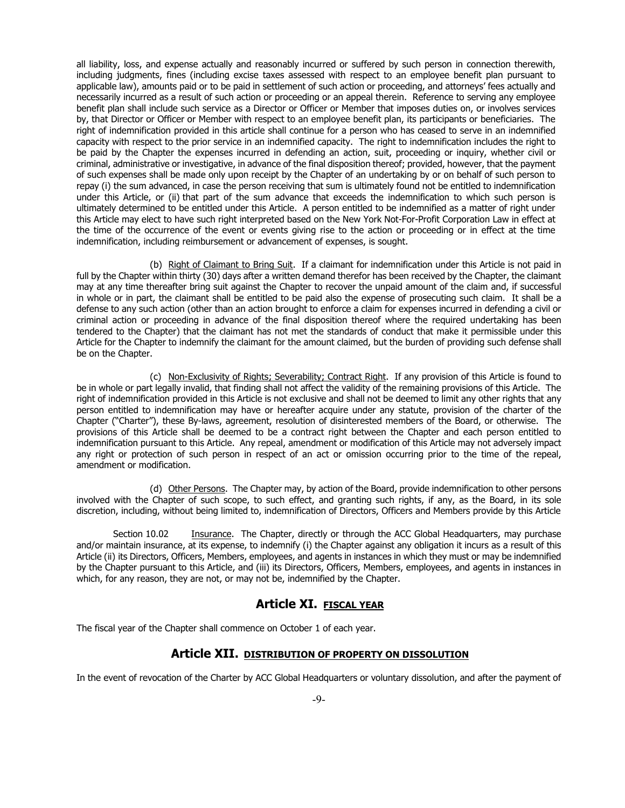all liability, loss, and expense actually and reasonably incurred or suffered by such person in connection therewith, including judgments, fines (including excise taxes assessed with respect to an employee benefit plan pursuant to applicable law), amounts paid or to be paid in settlement of such action or proceeding, and attorneys' fees actually and necessarily incurred as a result of such action or proceeding or an appeal therein. Reference to serving any employee benefit plan shall include such service as a Director or Officer or Member that imposes duties on, or involves services by, that Director or Officer or Member with respect to an employee benefit plan, its participants or beneficiaries. The right of indemnification provided in this article shall continue for a person who has ceased to serve in an indemnified capacity with respect to the prior service in an indemnified capacity. The right to indemnification includes the right to be paid by the Chapter the expenses incurred in defending an action, suit, proceeding or inquiry, whether civil or criminal, administrative or investigative, in advance of the final disposition thereof; provided, however, that the payment of such expenses shall be made only upon receipt by the Chapter of an undertaking by or on behalf of such person to repay (i) the sum advanced, in case the person receiving that sum is ultimately found not be entitled to indemnification under this Article, or (ii) that part of the sum advance that exceeds the indemnification to which such person is ultimately determined to be entitled under this Article. A person entitled to be indemnified as a matter of right under this Article may elect to have such right interpreted based on the New York Not-For-Profit Corporation Law in effect at the time of the occurrence of the event or events giving rise to the action or proceeding or in effect at the time indemnification, including reimbursement or advancement of expenses, is sought.

(b) Right of Claimant to Bring Suit. If a claimant for indemnification under this Article is not paid in full by the Chapter within thirty (30) days after a written demand therefor has been received by the Chapter, the claimant may at any time thereafter bring suit against the Chapter to recover the unpaid amount of the claim and, if successful in whole or in part, the claimant shall be entitled to be paid also the expense of prosecuting such claim. It shall be a defense to any such action (other than an action brought to enforce a claim for expenses incurred in defending a civil or criminal action or proceeding in advance of the final disposition thereof where the required undertaking has been tendered to the Chapter) that the claimant has not met the standards of conduct that make it permissible under this Article for the Chapter to indemnify the claimant for the amount claimed, but the burden of providing such defense shall be on the Chapter.

(c) Non-Exclusivity of Rights; Severability; Contract Right. If any provision of this Article is found to be in whole or part legally invalid, that finding shall not affect the validity of the remaining provisions of this Article. The right of indemnification provided in this Article is not exclusive and shall not be deemed to limit any other rights that any person entitled to indemnification may have or hereafter acquire under any statute, provision of the charter of the Chapter ("Charter"), these By-laws, agreement, resolution of disinterested members of the Board, or otherwise. The provisions of this Article shall be deemed to be a contract right between the Chapter and each person entitled to indemnification pursuant to this Article. Any repeal, amendment or modification of this Article may not adversely impact any right or protection of such person in respect of an act or omission occurring prior to the time of the repeal, amendment or modification.

(d) Other Persons. The Chapter may, by action of the Board, provide indemnification to other persons involved with the Chapter of such scope, to such effect, and granting such rights, if any, as the Board, in its sole discretion, including, without being limited to, indemnification of Directors, Officers and Members provide by this Article

Section 10.02 Insurance. The Chapter, directly or through the ACC Global Headquarters, may purchase and/or maintain insurance, at its expense, to indemnify (i) the Chapter against any obligation it incurs as a result of this Article (ii) its Directors, Officers, Members, employees, and agents in instances in which they must or may be indemnified by the Chapter pursuant to this Article, and (iii) its Directors, Officers, Members, employees, and agents in instances in which, for any reason, they are not, or may not be, indemnified by the Chapter.

#### **Article XI. FISCAL YEAR**

The fiscal year of the Chapter shall commence on October 1 of each year.

#### **Article XII. DISTRIBUTION OF PROPERTY ON DISSOLUTION**

In the event of revocation of the Charter by ACC Global Headquarters or voluntary dissolution, and after the payment of